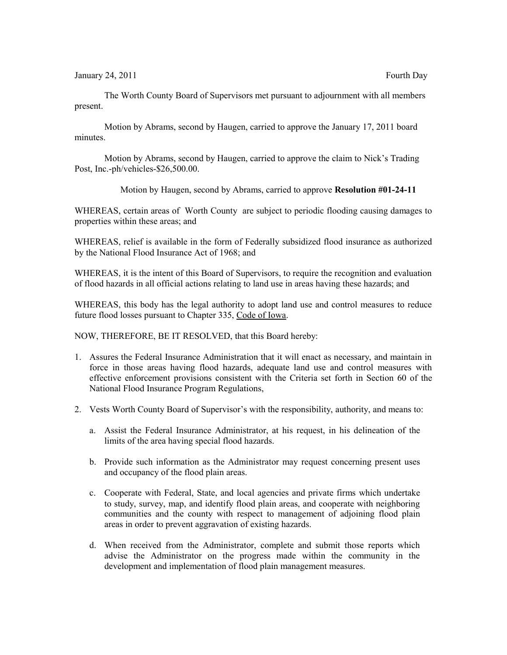January 24, 2011 **Fourth Day** 

The Worth County Board of Supervisors met pursuant to adjournment with all members present.

Motion by Abrams, second by Haugen, carried to approve the January 17, 2011 board minutes.

Motion by Abrams, second by Haugen, carried to approve the claim to Nick's Trading Post, Inc.-ph/vehicles-\$26,500.00.

Motion by Haugen, second by Abrams, carried to approve **Resolution #01-24-11**

WHEREAS, certain areas of Worth County are subject to periodic flooding causing damages to properties within these areas; and

WHEREAS, relief is available in the form of Federally subsidized flood insurance as authorized by the National Flood Insurance Act of 1968; and

WHEREAS, it is the intent of this Board of Supervisors, to require the recognition and evaluation of flood hazards in all official actions relating to land use in areas having these hazards; and

WHEREAS, this body has the legal authority to adopt land use and control measures to reduce future flood losses pursuant to Chapter 335, Code of Iowa.

NOW, THEREFORE, BE IT RESOLVED, that this Board hereby:

- 1. Assures the Federal Insurance Administration that it will enact as necessary, and maintain in force in those areas having flood hazards, adequate land use and control measures with effective enforcement provisions consistent with the Criteria set forth in Section 60 of the National Flood Insurance Program Regulations,
- 2. Vests Worth County Board of Supervisor's with the responsibility, authority, and means to:
	- a. Assist the Federal Insurance Administrator, at his request, in his delineation of the limits of the area having special flood hazards.
	- b. Provide such information as the Administrator may request concerning present uses and occupancy of the flood plain areas.
	- c. Cooperate with Federal, State, and local agencies and private firms which undertake to study, survey, map, and identify flood plain areas, and cooperate with neighboring communities and the county with respect to management of adjoining flood plain areas in order to prevent aggravation of existing hazards.
	- d. When received from the Administrator, complete and submit those reports which advise the Administrator on the progress made within the community in the development and implementation of flood plain management measures.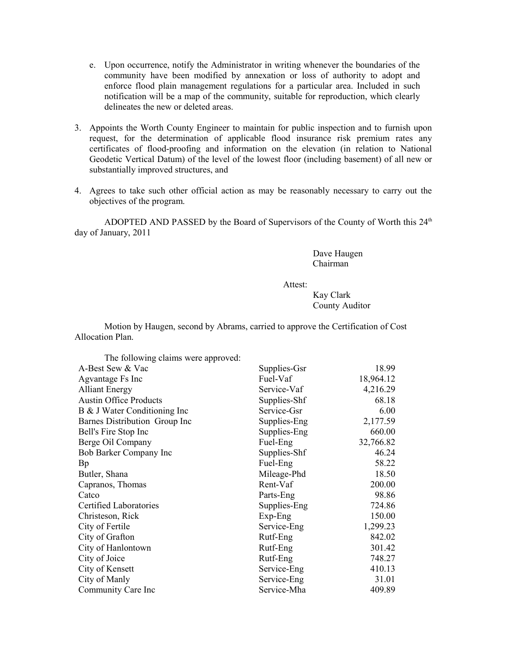- e. Upon occurrence, notify the Administrator in writing whenever the boundaries of the community have been modified by annexation or loss of authority to adopt and enforce flood plain management regulations for a particular area. Included in such notification will be a map of the community, suitable for reproduction, which clearly delineates the new or deleted areas.
- 3. Appoints the Worth County Engineer to maintain for public inspection and to furnish upon request, for the determination of applicable flood insurance risk premium rates any certificates of flood-proofing and information on the elevation (in relation to National Geodetic Vertical Datum) of the level of the lowest floor (including basement) of all new or substantially improved structures, and
- 4. Agrees to take such other official action as may be reasonably necessary to carry out the objectives of the program.

ADOPTED AND PASSED by the Board of Supervisors of the County of Worth this  $24<sup>th</sup>$ day of January, 2011

> Dave Haugen Chairman

Attest:

Kay Clark County Auditor

Motion by Haugen, second by Abrams, carried to approve the Certification of Cost Allocation Plan.

| The following claims were approved: |              |           |
|-------------------------------------|--------------|-----------|
| A-Best Sew & Vac                    | Supplies-Gsr | 18.99     |
| Agvantage Fs Inc                    | Fuel-Vaf     | 18,964.12 |
| <b>Alliant Energy</b>               | Service-Vaf  | 4,216.29  |
| <b>Austin Office Products</b>       | Supplies-Shf | 68.18     |
| B & J Water Conditioning Inc        | Service-Gsr  | 6.00      |
| Barnes Distribution Group Inc       | Supplies-Eng | 2,177.59  |
| Bell's Fire Stop Inc                | Supplies-Eng | 660.00    |
| Berge Oil Company                   | Fuel-Eng     | 32,766.82 |
| Bob Barker Company Inc              | Supplies-Shf | 46.24     |
| Bp                                  | Fuel-Eng     | 58.22     |
| Butler, Shana                       | Mileage-Phd  | 18.50     |
| Capranos, Thomas                    | Rent-Vaf     | 200.00    |
| Catco                               | Parts-Eng    | 98.86     |
| Certified Laboratories              | Supplies-Eng | 724.86    |
| Christeson, Rick                    | $Exp-Eng$    | 150.00    |
| City of Fertile                     | Service-Eng  | 1,299.23  |
| City of Grafton                     | Rutf-Eng     | 842.02    |
| City of Hanlontown                  | Rutf-Eng     | 301.42    |
| City of Joice                       | Rutf-Eng     | 748.27    |
| City of Kensett                     | Service-Eng  | 410.13    |
| City of Manly                       | Service-Eng  | 31.01     |
| Community Care Inc                  | Service-Mha  | 409.89    |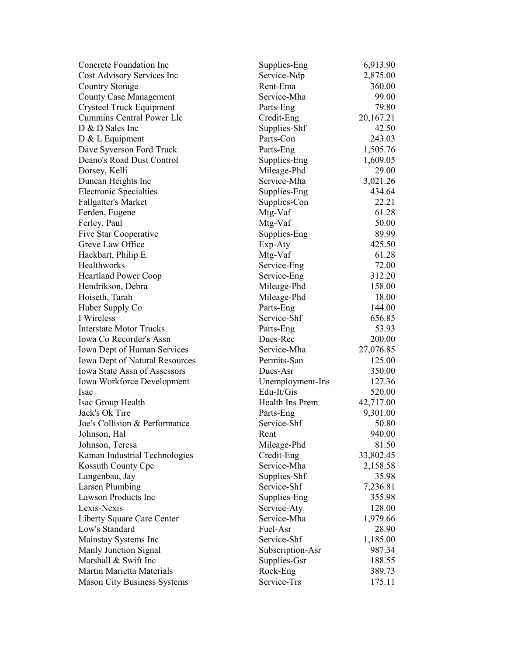| Concrete Foundation Inc               | Supplies-Eng     | 6,913.90  |
|---------------------------------------|------------------|-----------|
| Cost Advisory Services Inc            | Service-Ndp      | 2,875.00  |
| <b>Country Storage</b>                | Rent-Ema         | 360.00    |
| <b>County Case Management</b>         | Service-Mha      | 99.00     |
| Crysteel Truck Equipment              | Parts-Eng        | 79.80     |
| <b>Cummins Central Power Llc</b>      | Credit-Eng       | 20,167.21 |
| D & D Sales Inc                       | Supplies-Shf     | 42.50     |
| $D < L$ Equipment                     | Parts-Con        | 243.03    |
| Dave Syverson Ford Truck              | Parts-Eng        | 1,505.76  |
| Deano's Road Dust Control             | Supplies-Eng     | 1,609.05  |
| Dorsey, Kelli                         | Mileage-Phd      | 29.00     |
| Duncan Heights Inc                    | Service-Mha      | 3,021.26  |
| <b>Electronic Specialties</b>         | Supplies-Eng     | 434.64    |
| Fallgatter's Market                   | Supplies-Con     | 22.21     |
| Ferden, Eugene                        | Mtg-Vaf          | 61.28     |
| Ferley, Paul                          | Mtg-Vaf          | 50.00     |
| Five Star Cooperative                 | Supplies-Eng     | 89.99     |
| Greve Law Office                      | Exp-Aty          | 425.50    |
| Hackbart, Philip E.                   | Mtg-Vaf          | 61.28     |
| <b>Healthworks</b>                    | Service-Eng      | 72.00     |
| <b>Heartland Power Coop</b>           | Service-Eng      | 312.20    |
| Hendrikson, Debra                     | Mileage-Phd      | 158.00    |
| Hoiseth, Tarah                        | Mileage-Phd      | 18.00     |
| Huber Supply Co                       | Parts-Eng        | 144.00    |
| I Wireless                            | Service-Shf      | 656.85    |
| <b>Interstate Motor Trucks</b>        | Parts-Eng        | 53.93     |
| Iowa Co Recorder's Assn               | Dues-Rec         | 200.00    |
| Iowa Dept of Human Services           | Service-Mha      | 27,076.85 |
| <b>Iowa Dept of Natural Resources</b> | Permits-San      | 125.00    |
| Iowa State Assn of Assessors          | Dues-Asr         | 350.00    |
| Iowa Workforce Development            | Unemployment-Ins | 127.36    |
| Isac                                  | Edu-It/Gis       | 520.00    |
| Isac Group Health                     | Health Ins Prem  | 42,717.00 |
| Jack's Ok Tire                        | Parts-Eng        | 9,301.00  |
| Joe's Collision & Performance         | Service-Shf      | 50.80     |
| Johnson, Hal                          | Rent             | 940.00    |
| Johnson, Teresa                       | Mileage-Phd      | 81.50     |
| Kaman Industrial Technologies         | Credit-Eng       | 33,802.45 |
| Kossuth County Cpc                    | Service-Mha      | 2,158.58  |
| Langenbau, Jay                        | Supplies-Shf     | 35.98     |
| Larsen Plumbing                       | Service-Shf      | 7,236.81  |
| <b>Lawson Products Inc</b>            | Supplies-Eng     | 355.98    |
| Lexis-Nexis                           | Service-Aty      | 128.00    |
| Liberty Square Care Center            | Service-Mha      | 1,979.66  |
| Low's Standard                        | Fuel-Asr         | 28.90     |
| Mainstay Systems Inc                  | Service-Shf      | 1,185.00  |
| Manly Junction Signal                 | Subscription-Asr | 987.34    |
| Marshall & Swift Inc                  | Supplies-Gsr     | 188.55    |
| Martin Marietta Materials             | Rock-Eng         | 389.73    |
|                                       | Service-Trs      |           |
| <b>Mason City Business Systems</b>    |                  | 175.11    |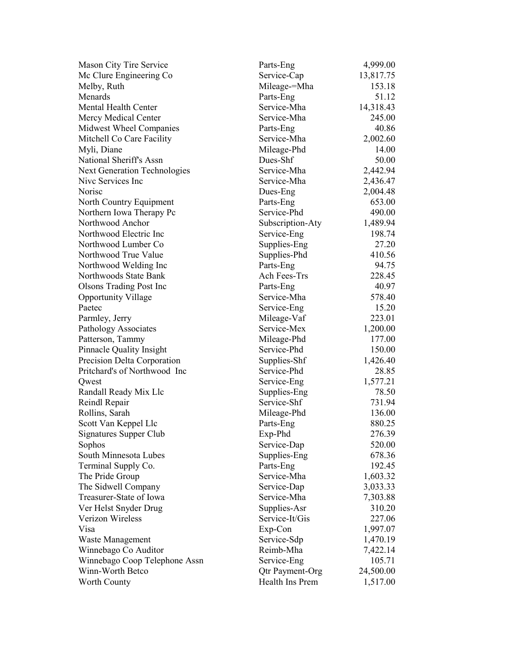| Mason City Tire Service                  | Parts-Eng        | 4,999.00             |
|------------------------------------------|------------------|----------------------|
| Mc Clure Engineering Co                  | Service-Cap      | 13,817.75            |
| Melby, Ruth                              | Mileage-=Mha     | 153.18               |
| Menards                                  | Parts-Eng        | 51.12                |
| Mental Health Center                     | Service-Mha      | 14,318.43            |
| Mercy Medical Center                     | Service-Mha      | 245.00               |
| Midwest Wheel Companies                  | Parts-Eng        | 40.86                |
| Mitchell Co Care Facility                | Service-Mha      | 2,002.60             |
| Myli, Diane                              | Mileage-Phd      | 14.00                |
| National Sheriff's Assn                  | Dues-Shf         | 50.00                |
| <b>Next Generation Technologies</b>      | Service-Mha      | 2,442.94             |
| Nive Services Inc                        | Service-Mha      | 2,436.47             |
| Norisc                                   | Dues-Eng         | 2,004.48             |
| North Country Equipment                  | Parts-Eng        | 653.00               |
| Northern Iowa Therapy Pc                 | Service-Phd      | 490.00               |
| Northwood Anchor                         | Subscription-Aty | 1,489.94             |
| Northwood Electric Inc                   | Service-Eng      | 198.74               |
| Northwood Lumber Co                      | Supplies-Eng     | 27.20                |
| Northwood True Value                     | Supplies-Phd     | 410.56               |
| Northwood Welding Inc                    | Parts-Eng        | 94.75                |
| Northwoods State Bank                    | Ach Fees-Trs     | 228.45               |
| <b>Olsons Trading Post Inc</b>           | Parts-Eng        | 40.97                |
| <b>Opportunity Village</b>               | Service-Mha      | 578.40               |
| Paetec                                   | Service-Eng      | 15.20                |
| Parmley, Jerry                           | Mileage-Vaf      | 223.01               |
| Pathology Associates                     | Service-Mex      | 1,200.00             |
| Patterson, Tammy                         | Mileage-Phd      | 177.00               |
| <b>Pinnacle Quality Insight</b>          | Service-Phd      | 150.00               |
| Precision Delta Corporation              | Supplies-Shf     | 1,426.40             |
| Pritchard's of Northwood Inc             | Service-Phd      | 28.85                |
| Qwest                                    | Service-Eng      | 1,577.21             |
| Randall Ready Mix Llc                    | Supplies-Eng     | 78.50                |
| Reindl Repair                            | Service-Shf      | 731.94               |
| Rollins, Sarah                           | Mileage-Phd      | 136.00               |
| Scott Van Keppel Llc                     | Parts-Eng        | 880.25               |
| <b>Signatures Supper Club</b>            | Exp-Phd          | 276.39               |
| Sophos                                   | Service-Dap      | 520.00               |
| South Minnesota Lubes                    | Supplies-Eng     | 678.36               |
| Terminal Supply Co.                      | Parts-Eng        | 192.45               |
| The Pride Group                          | Service-Mha      | 1,603.32             |
| The Sidwell Company                      | Service-Dap      | 3,033.33             |
| Treasurer-State of Iowa                  | Service-Mha      | 7,303.88             |
| Ver Helst Snyder Drug                    | Supplies-Asr     | 310.20               |
| Verizon Wireless                         | Service-It/Gis   | 227.06               |
| Visa                                     | Exp-Con          | 1,997.07             |
|                                          | Service-Sdp      |                      |
| Waste Management<br>Winnebago Co Auditor | Reimb-Mha        | 1,470.19<br>7,422.14 |
| Winnebago Coop Telephone Assn            | Service-Eng      | 105.71               |
| Winn-Worth Betco                         | Qtr Payment-Org  | 24,500.00            |
| Worth County                             | Health Ins Prem  | 1,517.00             |
|                                          |                  |                      |